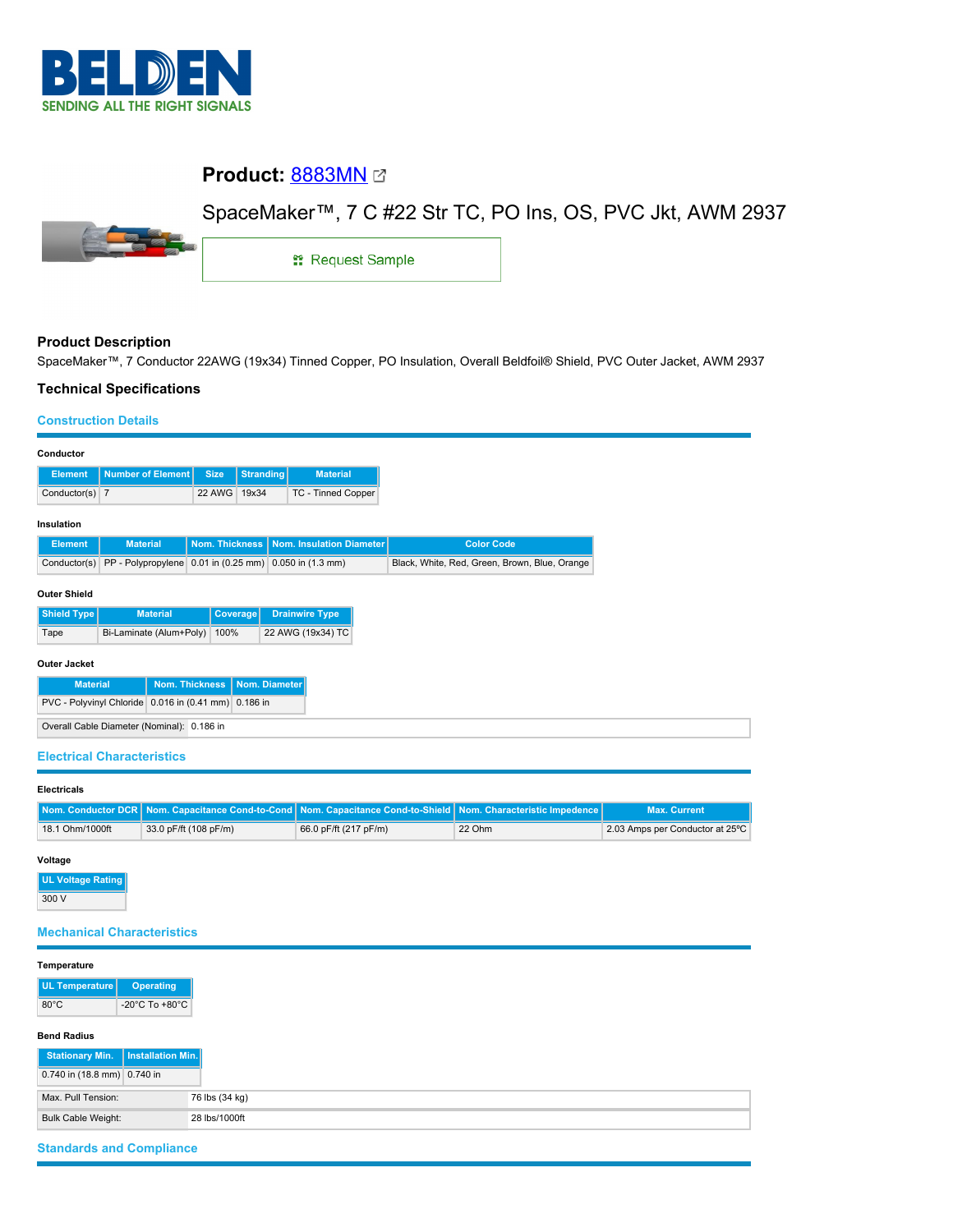

# **Product:** [8883MN](https://catalog.belden.com/index.cfm?event=pd&p=PF_8883MN&tab=downloads)

## SpaceMaker™, 7 C #22 Str TC, PO Ins, OS, PVC Jkt, AWM 2937



**: Request Sample** 

## **Product Description**

SpaceMaker™, 7 Conductor 22AWG (19x34) Tinned Copper, PO Insulation, Overall Beldfoil® Shield, PVC Outer Jacket, AWM 2937

### **Technical Specifications**

#### **Construction Details**

| Conductor                                            |                                                        |                |                  |                          |                                               |
|------------------------------------------------------|--------------------------------------------------------|----------------|------------------|--------------------------|-----------------------------------------------|
| <b>Element</b>                                       | Number of Element                                      | <b>Size</b>    | <b>Stranding</b> | <b>Material</b>          |                                               |
| Conductor(s) $\vert$ 7                               |                                                        | 22 AWG         | 19x34            | TC - Tinned Copper       |                                               |
|                                                      |                                                        |                |                  |                          |                                               |
| Insulation                                           | <b>Material</b>                                        | Nom. Thickness |                  | Nom. Insulation Diameter | <b>Color Code</b>                             |
| <b>Element</b>                                       |                                                        |                |                  |                          |                                               |
| Conductor(s)                                         | PP - Polypropylene 0.01 in (0.25 mm) 0.050 in (1.3 mm) |                |                  |                          | Black, White, Red, Green, Brown, Blue, Orange |
|                                                      |                                                        |                |                  |                          |                                               |
| <b>Outer Shield</b>                                  |                                                        |                |                  |                          |                                               |
| <b>Shield Type</b>                                   | <b>Material</b>                                        | Coverage       |                  | <b>Drainwire Type</b>    |                                               |
| Tape                                                 | Bi-Laminate (Alum+Poly)                                | 100%           |                  | 22 AWG (19x34) TC        |                                               |
|                                                      |                                                        |                |                  |                          |                                               |
| <b>Outer Jacket</b>                                  |                                                        |                |                  |                          |                                               |
| Nom. Thickness<br>Nom. Diameter<br><b>Material</b>   |                                                        |                |                  |                          |                                               |
| PVC - Polyvinyl Chloride 0.016 in (0.41 mm) 0.186 in |                                                        |                |                  |                          |                                               |
| Overall Cable Diameter (Nominal): 0.186 in           |                                                        |                |                  |                          |                                               |
|                                                      |                                                        |                |                  |                          |                                               |

## **Electrical Characteristics**

| <b>Electricals</b> |                       |                                                                                                                |        |                                 |
|--------------------|-----------------------|----------------------------------------------------------------------------------------------------------------|--------|---------------------------------|
|                    |                       | Nom. Conductor DCR Nom. Capacitance Cond-to-Cond Nom. Capacitance Cond-to-Shield Nom. Characteristic Impedence |        | <b>Max. Current</b>             |
| 18.1 Ohm/1000ft    | 33.0 pF/ft (108 pF/m) | 66.0 pF/ft (217 pF/m)                                                                                          | 22 Ohm | 2.03 Amps per Conductor at 25°C |

#### **Voltage**

**UL Voltage Rating** 300 V

## **Mechanical Characteristics**

| Temperature<br>UL Temperature              |                                      |
|--------------------------------------------|--------------------------------------|
|                                            |                                      |
|                                            | <b>Operating</b>                     |
| $80^{\circ}$ C                             | -20 $^{\circ}$ C To +80 $^{\circ}$ C |
| <b>Bend Radius</b>                         |                                      |
| <b>Stationary Min.</b>                     | Installation Min.                    |
| 0.740 in (18.8 mm) 0.740 in                |                                      |
| Max. Pull Tension:                         | 76 lbs (34 kg)                       |
| <b>Bulk Cable Weight:</b><br>28 lbs/1000ft |                                      |